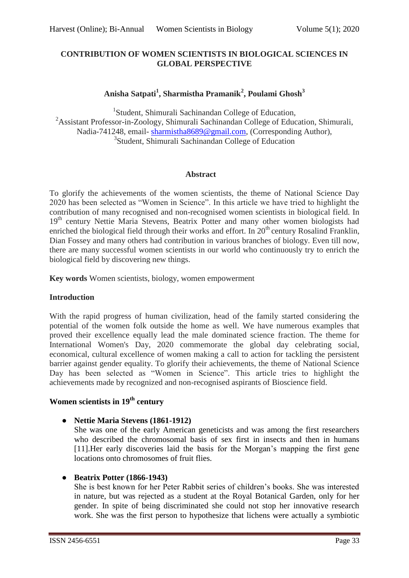### **CONTRIBUTION OF WOMEN SCIENTISTS IN BIOLOGICAL SCIENCES IN GLOBAL PERSPECTIVE**

## **Anisha Satpati<sup>1</sup> , Sharmistha Pramanik<sup>2</sup> , Poulami Ghosh<sup>3</sup>**

<sup>1</sup>Student, Shimurali Sachinandan College of Education, <sup>2</sup>Assistant Professor-in-Zoology, Shimurali Sachinandan College of Education, Shimurali, Nadia-741248, email- [sharmistha8689@gmail.com,](mailto:sharmistha8689@gmail.com) (Corresponding Author), 3 Student, Shimurali Sachinandan College of Education

#### **Abstract**

To glorify the achievements of the women scientists, the theme of National Science Day 2020 has been selected as "Women in Science". In this article we have tried to highlight the contribution of many recognised and non-recognised women scientists in biological field. In 19<sup>th</sup> century Nettie Maria Stevens, Beatrix Potter and many other women biologists had enriched the biological field through their works and effort. In 20<sup>th</sup> century Rosalind Franklin, Dian Fossey and many others had contribution in various branches of biology. Even till now, there are many successful women scientists in our world who continuously try to enrich the biological field by discovering new things.

**Key words** Women scientists, biology, women empowerment

### **Introduction**

With the rapid progress of human civilization, head of the family started considering the potential of the women folk outside the home as well. We have numerous examples that proved their excellence equally lead the male dominated science fraction. The theme for International Women's Day, 2020 commemorate the global day celebrating social, economical, cultural excellence of women making a call to action for tackling the persistent barrier against gender equality. To glorify their achievements, the theme of National Science Day has been selected as "Women in Science". This article tries to highlight the achievements made by recognized and non-recognised aspirants of Bioscience field.

# **Women scientists in 19th century**

### ● **Nettie Maria Stevens (1861-1912)**

She was one of the early American geneticists and was among the first researchers who described the chromosomal basis of sex first in insects and then in humans [11].Her early discoveries laid the basis for the Morgan"s mapping the first gene locations onto chromosomes of fruit flies.

### ● **Beatrix Potter (1866-1943)**

She is best known for her Peter Rabbit series of children"s books. She was interested in nature, but was rejected as a student at the Royal Botanical Garden, only for her gender. In spite of being discriminated she could not stop her innovative research work. She was the first person to hypothesize that lichens were actually a symbiotic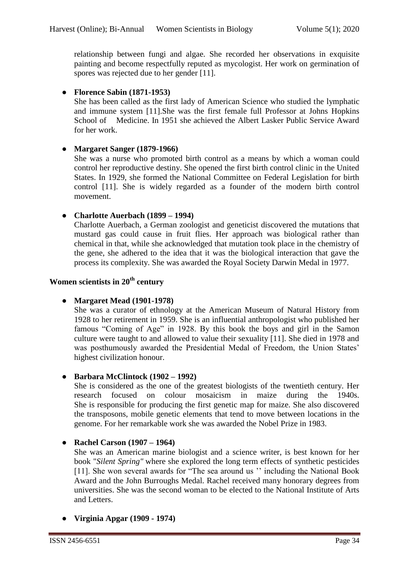relationship between fungi and algae. She recorded her observations in exquisite painting and become respectfully reputed as mycologist. Her work on germination of spores was rejected due to her gender [11].

### ● **Florence Sabin (1871-1953)**

She has been called as the first lady of American Science who studied the lymphatic and immune system [11].She was the first female full Professor at Johns Hopkins School of Medicine. In 1951 she achieved the Albert Lasker Public Service Award for her work.

### ● **Margaret Sanger (1879-1966)**

She was a nurse who promoted birth control as a means by which a woman could control her reproductive destiny. She opened the first birth control clinic in the United States. In 1929, she formed the National Committee on Federal Legislation for birth control [11]. She is widely regarded as a founder of the modern birth control movement.

### ● **Charlotte Auerbach (1899 – 1994)**

Charlotte Auerbach, a German zoologist and geneticist discovered the mutations that mustard gas could cause in fruit flies. Her approach was biological rather than chemical in that, while she acknowledged that mutation took place in the chemistry of the gene, she adhered to the idea that it was the biological interaction that gave the process its complexity. She was awarded the Royal Society Darwin Medal in 1977.

### **Women scientists in 20th century**

### ● **Margaret Mead (1901-1978)**

She was a curator of ethnology at the American Museum of Natural History from 1928 to her retirement in 1959. She is an influential anthropologist who published her famous "Coming of Age" in 1928. By this book the boys and girl in the Samon culture were taught to and allowed to value their sexuality [11]. She died in 1978 and was posthumously awarded the Presidential Medal of Freedom, the Union States' highest civilization honour.

### ● **Barbara McClintock (1902 – 1992)**

She is considered as the one of the greatest biologists of the twentieth century. Her research focused on colour mosaicism in maize during the 1940s. She is responsible for producing the first genetic map for maize. She also discovered the transposons, mobile genetic elements that tend to move between locations in the genome. For her remarkable work she was awarded the Nobel Prize in 1983.

### ● **Rachel Carson (1907 – 1964)**

She was an American marine biologist and a science writer, is best known for her book "*Silent Spring"* where she explored the long term effects of synthetic pesticides [11]. She won several awards for "The sea around us" including the National Book Award and the John Burroughs Medal. Rachel received many honorary degrees from universities. She was the second woman to be elected to the National Institute of Arts and Letters.

### ● **Virginia Apgar (1909 - 1974)**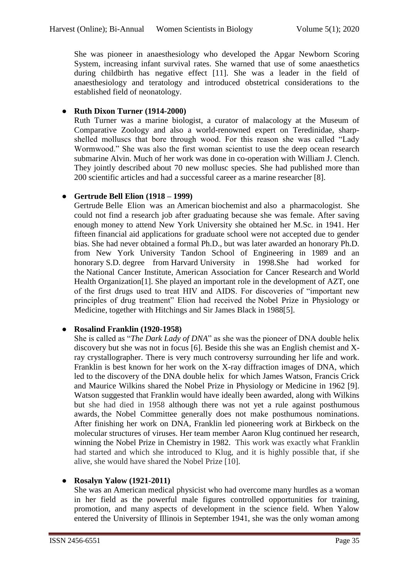She was pioneer in anaesthesiology who developed the Apgar Newborn Scoring System, increasing infant survival rates. She warned that use of some anaesthetics during childbirth has negative effect [11]. She was a leader in the field of anaesthesiology and teratology and introduced obstetrical considerations to the established field of neonatology.

### ● **Ruth Dixon Turner (1914-2000)**

Ruth Turner was a marine biologist, a curator of malacology at the Museum of Comparative Zoology and also a world-renowned expert on Teredinidae, sharpshelled molluscs that bore through wood. For this reason she was called "Lady Wormwood." She was also the first woman scientist to use the deep ocean research submarine [Alvin.](https://en.wikipedia.org/wiki/DSV_Alvin) Much of her work was done in co-operation with [William J. Clench.](https://en.wikipedia.org/wiki/William_J._Clench) They jointly described about 70 new mollusc species. She had published more than 200 scientific articles and had a successful career as a marine researcher [8].

## ● **Gertrude Bell Elion (1918 – 1999)**

Gertrude Belle Elion was an [American](https://en.wikipedia.org/wiki/United_States) [biochemist](https://en.wikipedia.org/wiki/Biochemistry) and also a [pharmacologist.](https://en.wikipedia.org/wiki/Pharmacology) She could not find a research job after graduating because she was female. After saving enough money to attend New York University she obtained her M.Sc. in 1941. Her fifteen financial aid applications for graduate school were not accepted due to gender bias. She had never obtained a formal [Ph.D.,](https://en.wikipedia.org/wiki/Doctor_of_Philosophy) but was later awarded an honorary Ph.D. from New York University Tandon School of Engineering in 1989 and an honorary [S.D.](https://en.wikipedia.org/wiki/Doctor_of_Science) degree from [Harvard](https://en.wikipedia.org/wiki/Harvard) University in 1998.She had worked for the [National Cancer Institute,](https://en.wikipedia.org/wiki/National_Cancer_Institute) [American Association for Cancer Research](https://en.wikipedia.org/wiki/American_Association_for_Cancer_Research) and [World](https://en.wikipedia.org/wiki/World_Health_Organization)  Health Organization<sup>[1]</sup>. She played an important role in the development of AZT, one of the first drugs used to treat HIV and AIDS. For discoveries of "important new principles of drug treatment" Elion had received the [Nobel Prize in Physiology or](https://en.wikipedia.org/wiki/Nobel_Prize_in_Physiology_or_Medicine)  [Medicine,](https://en.wikipedia.org/wiki/Nobel_Prize_in_Physiology_or_Medicine) together with Hitchings and Sir James Black in 1988[5].

## ● **Rosalind Franklin (1920-1958)**

She is called as "*The Dark Lady of DNA*" as she was the pioneer of DNA double helix discovery but she was not in focus [6]. Beside this she was an English [chemist](https://en.wikipedia.org/wiki/Chemist) and [X](https://en.wikipedia.org/wiki/X-ray_crystallographer)[ray crystallographer.](https://en.wikipedia.org/wiki/X-ray_crystallographer) There is very much controversy surrounding her life and work. Franklin is best known for her work on the X-ray diffraction images of DNA, which led to the discovery of the DNA [double helix](https://en.wikipedia.org/wiki/Double_helix) for which James Watson, Francis Crick and Maurice Wilkins shared the Nobel Prize in Physiology or Medicine in 1962 [9]. Watson suggested that Franklin would have ideally been awarded, along with Wilkins but she had died in 1958 although there was not yet a rule against posthumous awards, the Nobel Committee generally does not make posthumous nominations. After finishing her work on DNA, Franklin led pioneering work at Birkbeck on the molecular structures of viruses. Her team member [Aaron Klug](https://en.wikipedia.org/wiki/Aaron_Klug) continued her research, winning the Nobel Prize in Chemistry in 1982. This work was exactly what Franklin had started and which she introduced to Klug, and it is highly possible that, if she alive, she would have shared the Nobel Prize [10].

## ● **Rosalyn Yalow (1921-2011)**

She was an American [medical physicist](https://en.wikipedia.org/wiki/Medical_physics) who had overcome many hurdles as a woman in her field as the powerful male figures controlled opportunities for training, promotion, and many aspects of development in the science field. When Yalow entered the University of Illinois in September 1941, she was the only woman among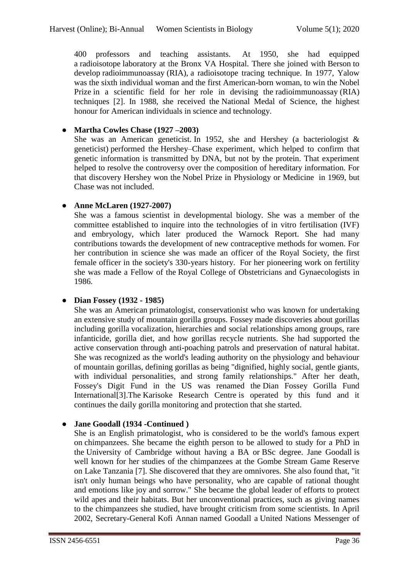400 professors and teaching assistants. At 1950, she had equipped a [radioisotope](https://en.wikipedia.org/wiki/Radioisotope) laboratory at the Bronx VA Hospital. There she joined with [Berson](https://en.wikipedia.org/wiki/Solomon_Berson) to develop [radioimmunoassay](https://en.wikipedia.org/wiki/Radioimmunoassay) (RIA), a radioisotope tracing technique. In 1977, Yalow was the sixth individual woman and the first American-born woman, to win the [Nobel](https://en.wikipedia.org/wiki/Nobel_Prize)  [Prize](https://en.wikipedia.org/wiki/Nobel_Prize) in a scientific field for her role in devising the [radioimmunoassay](https://en.wikipedia.org/wiki/Radioimmunoassay) (RIA) techniques [2]. In 1988, she received the [National Medal of Science,](https://en.wikipedia.org/wiki/National_Medal_of_Science) the highest honour for American individuals in science and technology.

### ● **Martha Cowles Chase (1927 –2003)**

She was an American geneticist. In 1952, she and Hershey (a bacteriologist  $\&$ geneticist) performed the [Hershey–Chase experiment,](https://en.wikipedia.org/wiki/Hershey%E2%80%93Chase_experiment) which helped to confirm that genetic information is transmitted by DNA, but not by the protein. That experiment helped to resolve the controversy over the composition of hereditary information. For that discovery Hershey won the [Nobel Prize in Physiology or Medicine](https://en.wikipedia.org/wiki/Nobel_Prize_in_Physiology_or_Medicine) in 1969, but Chase was not included.

### ● **Anne McLaren (1927-2007)**

She was a famous scientist in developmental biology. She was a member of the committee established to inquire into the technologies of in vitro fertilisation (IVF) and embryology, which later produced the Warnock Report. She had many contributions towards the development of new contraceptive methods for women. For her contribution in science she was made an officer of the Royal Society, the first female officer in the society's 330-years history. For her pioneering work on fertility she was made a Fellow of the [Royal College of Obstetricians and Gynaecologists](https://en.wikipedia.org/wiki/Royal_College_of_Obstetricians_and_Gynaecologists) in 1986.

## ● **Dian Fossey (1932 - 1985)**

She was an American [primatologist,](https://en.wikipedia.org/wiki/Primatologist) [conservationist](https://en.wikipedia.org/wiki/Conservationist_movement) who was known for undertaking an extensive study of mountain gorilla groups. Fossey made discoveries about gorillas including gorilla [vocalization,](https://en.wikipedia.org/wiki/Animal_communication#Auditory) [hierarchies and social relationships](https://en.wikipedia.org/wiki/Gorilla#Social_structure) among groups, rare infanticide, gorilla diet, and how gorillas recycle nutrients. [She had supported the](https://en.wikipedia.org/wiki/Dian_Fossey#cite_note-Montgomery149-51)  [active conservation through anti-poaching patrols and preservation of natural habitat.](https://en.wikipedia.org/wiki/Dian_Fossey#cite_note-Montgomery149-51) She was recognized as the world's leading authority on the physiology and behaviour of mountain gorillas, defining gorillas as being "dignified, highly social, gentle giants, with individual personalities, and strong family relationships." After her death, Fossey's Digit Fund in the US was renamed the Dian Fossey Gorilla Fund International[3].The [Karisoke Research Centre](https://en.wikipedia.org/wiki/Karisoke_Research_Center) is operated by this fund and it continues the daily gorilla monitoring and protection that she started.

## ● **Jane Goodall (1934 -Continued )**

She is an English primatologist, who is considered to be the world's famous expert on [chimpanzees.](https://en.wikipedia.org/wiki/Common_chimpanzee) She became the eighth person to be allowed to study for a PhD in the University of Cambridge without having a BA or [BSc](https://en.wikipedia.org/wiki/Bachelor_of_Science) degree. [Jane Goodall](http://www.womeninscience.co.uk/bios.php?id=17) is well known for her studies of the chimpanzees at the Gombe Stream Game Reserve on Lake Tanzania [7]. She discovered that they are omnivores. She also found that, "it isn't only human beings who have personality, who are capable of rational thought and emotions like joy and sorrow." She became the global leader of efforts to protect wild apes and their habitats. But her unconventional practices, such as giving names to the chimpanzees she studied, have brought criticism from some scientists. In April 2002, Secretary-General [Kofi Annan](https://en.wikipedia.org/wiki/Kofi_Annan) named Goodall a United Nations Messenger of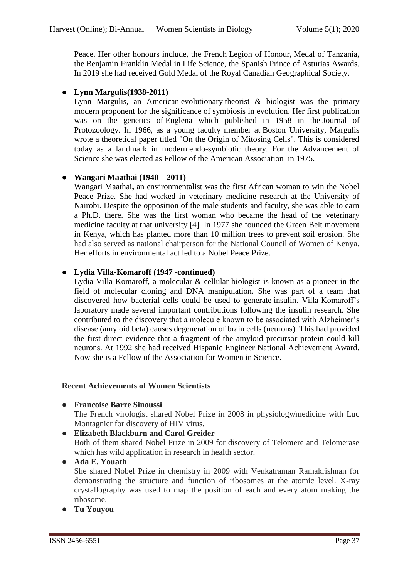Peace. Her other honours include, the French Legion of Honour, [Medal of Tanzania,](https://en.wikipedia.org/w/index.php?title=Medal_of_Tanzania&action=edit&redlink=1) the [Benjamin Franklin Medal](https://en.wikipedia.org/wiki/The_Franklin_Institute_Awards) in [Life Science,](https://en.wikipedia.org/wiki/Biology) the Spanish [Prince of Asturias Awards.](https://en.wikipedia.org/wiki/Prince_of_Asturias_Awards) In 2019 she had received Gold Medal of the [Royal Canadian Geographical Society.](https://en.wikipedia.org/wiki/Royal_Canadian_Geographical_Society)

## ● **Lynn Margulis(1938-2011)**

[Lynn Margulis,](https://en.wikipedia.org/wiki/Lynn_Margulis) an American [evolutionary](https://en.wikipedia.org/wiki/Evolution) theorist & biologist was the primary modern proponent for the significance of [symbiosis in evolution.](https://en.wikipedia.org/wiki/Symbiogenesis) Her first publication was on the genetics of Euglena which published in 1958 in the Journal of Protozoology. In 1966, as a young faculty member at [Boston University,](https://en.wikipedia.org/wiki/Boston_University) Margulis wrote a theoretical paper titled "On the Origin of Mitosing Cells". This is considered today as a landmark in modern endo-symbiotic theory. For the Advancement of Science she was elected as Fellow of the [American Association](https://en.wikipedia.org/wiki/American_Association_for_the_Advancement_of_Science) in 1975.

## ● **Wangari Maathai (1940 – 2011)**

Wangari Maathai**,** an environmentalist was the first African woman to win the Nobel Peace Prize. She had worked in veterinary medicine research at the University of Nairobi. Despite the opposition of the male students and faculty, she was able to earn a Ph.D. there. She was the first woman who became the head of the veterinary medicine faculty at that university [4]. In 1977 she founded the Green Belt movement in Kenya, which has planted more than 10 million trees to [prevent soil erosion.](https://www.thoughtco.com/soil-erosion-in-africa-43352) She had also served as national chairperson for the National Council of Women of Kenya. Her efforts in environmental act led to a Nobel Peace Prize.

## ● **Lydia Villa-Komaroff (1947 -continued)**

Lydia Villa-Komaroff, a molecular & cellular biologist is known as a pioneer in the field of molecular cloning and DNA manipulation. She was part of a team that discovered how bacterial cells could be used to generate [insulin.](https://en.wikipedia.org/wiki/Insulin) Villa-Komaroff"s laboratory made several important contributions following the insulin research. She contributed to the discovery that a molecule known to be associated with Alzheimer"s disease (amyloid beta) causes degeneration of brain cells (neurons). This had provided the first direct evidence that a fragment of the amyloid precursor protein could kill neurons. At 1992 she had received Hispanic Engineer National Achievement Award. Now she is a Fellow of the [Association for Women in Science.](https://en.wikipedia.org/wiki/Association_for_Women_in_Science)

### **Recent Achievements of Women Scientists**

● **Francoise Barre Sinoussi**

The French virologist shared Nobel Prize in 2008 in physiology/medicine with Luc Montagnier for discovery of HIV virus.

● **Elizabeth Blackburn and Carol Greider** Both of them shared Nobel Prize in 2009 for discovery of Telomere and Telomerase which has wild application in research in health sector. ● **Ada E. Youath**

## She shared Nobel Prize in chemistry in 2009 with Venkatraman Ramakrishnan for demonstrating the structure and function of ribosomes at the atomic level. X-ray crystallography was used to map the position of each and every atom making the ribosome.

● **Tu Youyou**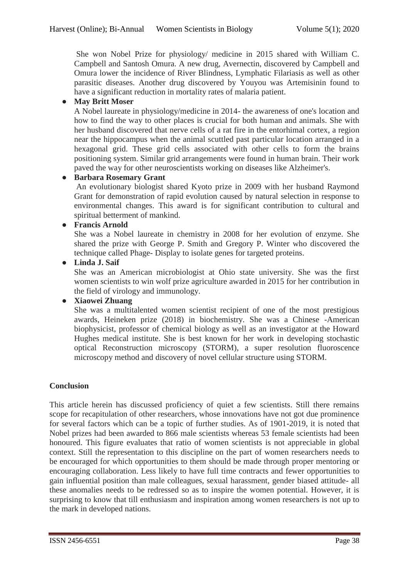She won Nobel Prize for physiology/ medicine in 2015 shared with William C. Campbell and Santosh Omura. A new drug, Avernectin, discovered by Campbell and Omura lower the incidence of River Blindness, Lymphatic Filariasis as well as other parasitic diseases. Another drug discovered by Youyou was Artemisinin found to have a significant reduction in mortality rates of malaria patient.

## ● **May Britt Moser**

A Nobel laureate in physiology/medicine in 2014- the awareness of one's location and how to find the way to other places is crucial for both human and animals. She with her husband discovered that nerve cells of a rat fire in the entorhimal cortex, a region near the hippocampus when the animal scuttled past particular location arranged in a hexagonal grid. These grid cells associated with other cells to form the brains positioning system. Similar grid arrangements were found in human brain. Their work paved the way for other neuroscientists working on diseases like Alzheimer's.

## ● **Barbara Rosemary Grant**

An evolutionary biologist shared Kyoto prize in 2009 with her husband Raymond Grant for demonstration of rapid evolution caused by natural selection in response to environmental changes. This award is for significant contribution to cultural and spiritual betterment of mankind.

## ● **Francis Arnold**

She was a Nobel laureate in chemistry in 2008 for her evolution of enzyme. She shared the prize with George P. Smith and Gregory P. Winter who discovered the technique called Phage- Display to isolate genes for targeted proteins.

## ● **Linda J. Saif**

She was an American microbiologist at Ohio state university. She was the first women scientists to win wolf prize agriculture awarded in 2015 for her contribution in the field of virology and immunology.

## ● **Xiaowei Zhuang**

She was a multitalented women scientist recipient of one of the most prestigious awards, Heineken prize (2018) in biochemistry. She was a Chinese -American biophysicist, professor of chemical biology as well as an investigator at the Howard Hughes medical institute. She is best known for her work in developing stochastic optical Reconstruction microscopy (STORM), a super resolution fluoroscence microscopy method and discovery of novel cellular structure using STORM.

## **Conclusion**

This article herein has discussed proficiency of quiet a few scientists. Still there remains scope for recapitulation of other researchers, whose innovations have not got due prominence for several factors which can be a topic of further studies. As of 1901-2019, it is noted that Nobel prizes had been awarded to 866 male scientists whereas 53 female scientists had been honoured. This figure evaluates that ratio of women scientists is not appreciable in global context. Still the representation to this discipline on the part of women researchers needs to be encouraged for which opportunities to them should be made through proper mentoring or encouraging collaboration. Less likely to have full time contracts and fewer opportunities to gain influential position than male colleagues, sexual harassment, gender biased attitude- all these anomalies needs to be redressed so as to inspire the women potential. However, it is surprising to know that till enthusiasm and inspiration among women researchers is not up to the mark in developed nations.